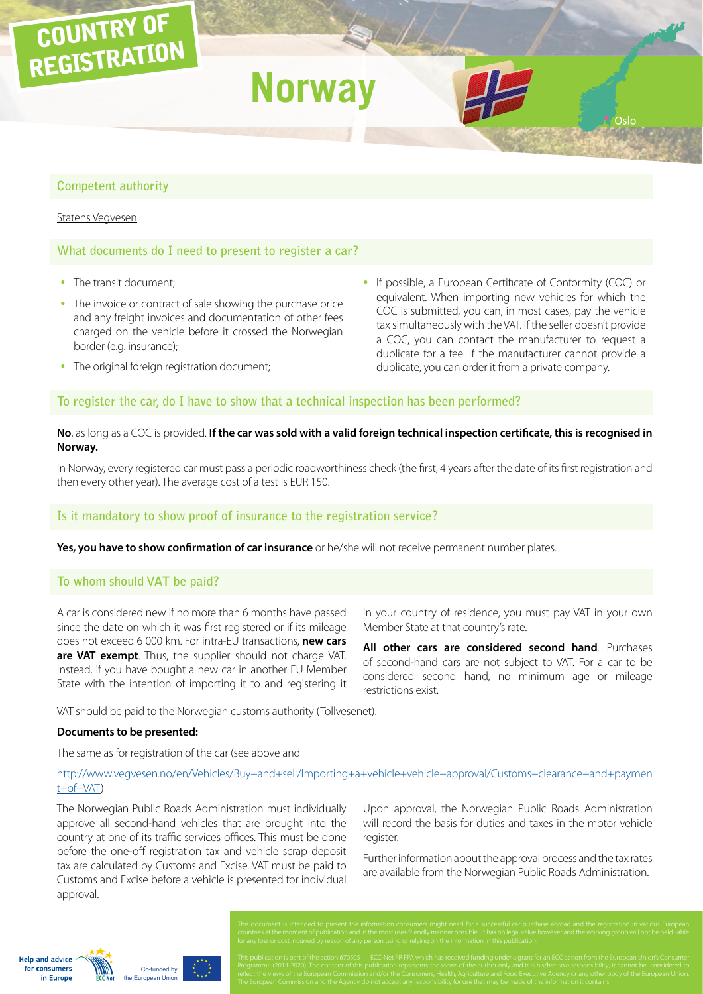# **Competent authority**

#### [Statens Vegvesen](http://www.vegvesen.no/)

COUNTRY OF

REGISTRATION

## **What documents do I need to present to register a car?**

- The transit document:
- The invoice or contract of sale showing the purchase price and any freight invoices and documentation of other fees charged on the vehicle before it crossed the Norwegian border (e.g. insurance);
- The original foreign registration document;
- If possible, a European Certificate of Conformity (COC) or equivalent. When importing new vehicles for which the COC is submitted, you can, in most cases, pay the vehicle tax simultaneously with the VAT. If the seller doesn't provide a COC, you can contact the manufacturer to request a duplicate for a fee. If the manufacturer cannot provide a duplicate, you can order it from a private company.

Oslo

## **To register the car, do I have to show that a technical inspection has been performed?**

**Norway**

### **No**, as long as a COC is provided. **If the car was sold with a valid foreign technical inspection certificate, this is recognised in Norway.**

In Norway, every registered car must pass a periodic roadworthiness check (the first, 4 years after the date of its first registration and then every other year). The average cost of a test is EUR 150.

#### **Is it mandatory to show proof of insurance to the registration service?**

**Yes, you have to show confirmation of car insurance** or he/she will not receive permanent number plates.

### **To whom should VAT be paid?**

A car is considered new if no more than 6 months have passed since the date on which it was first registered or if its mileage does not exceed 6 000 km. For intra-EU transactions, **new cars are VAT exempt**. Thus, the supplier should not charge VAT. Instead, if you have bought a new car in another EU Member State with the intention of importing it to and registering it

in your country of residence, you must pay VAT in your own Member State at that country's rate.

**All other cars are considered second hand**. Purchases of second-hand cars are not subject to VAT. For a car to be considered second hand, no minimum age or mileage restrictions exist.

VAT should be paid to the Norwegian customs authority (Tollvesenet).

#### **Documents to be presented:**

The same as for registration of the car (see above and

## [http://www.vegvesen.no/en/Vehicles/Buy+and+sell/Importing+a+vehicle+vehicle+approval/Customs+clearance+and+paymen](http://www.vegvesen.no/en/Vehicles/Buy+and+sell/Importing+a+vehicle+vehicle+approval/Customs+clearance+and+payment+of+VAT) [t+of+VAT](http://www.vegvesen.no/en/Vehicles/Buy+and+sell/Importing+a+vehicle+vehicle+approval/Customs+clearance+and+payment+of+VAT))

The Norwegian Public Roads Administration must individually approve all second-hand vehicles that are brought into the country at one of its traffic services offices. This must be done before the one-off registration tax and vehicle scrap deposit tax are calculated by Customs and Excise. VAT must be paid to Customs and Excise before a vehicle is presented for individual approval.

Upon approval, the Norwegian Public Roads Administration will record the basis for duties and taxes in the motor vehicle register.

Further information about the approval process and the tax rates are available from the Norwegian Public Roads Administration.